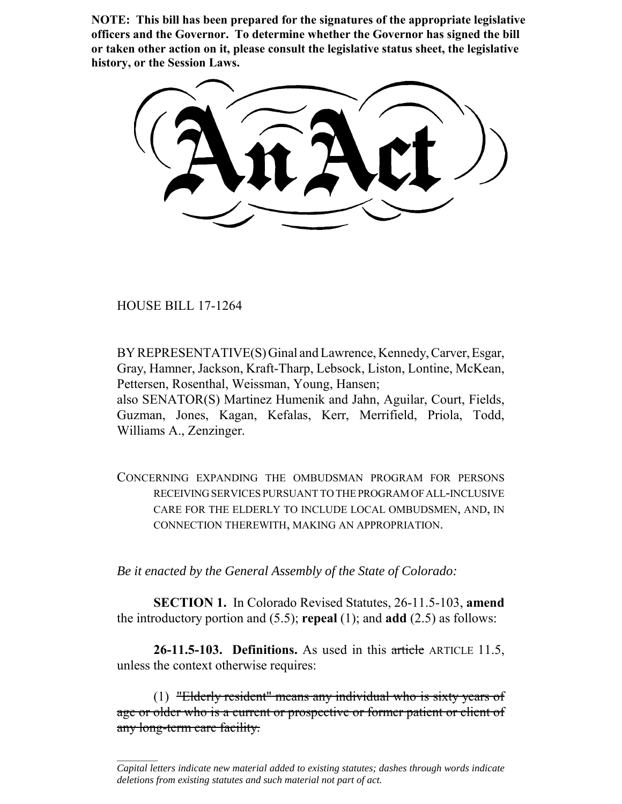**NOTE: This bill has been prepared for the signatures of the appropriate legislative officers and the Governor. To determine whether the Governor has signed the bill or taken other action on it, please consult the legislative status sheet, the legislative history, or the Session Laws.**

HOUSE BILL 17-1264

 $\frac{1}{2}$ 

BY REPRESENTATIVE(S) Ginal and Lawrence, Kennedy, Carver, Esgar, Gray, Hamner, Jackson, Kraft-Tharp, Lebsock, Liston, Lontine, McKean, Pettersen, Rosenthal, Weissman, Young, Hansen;

also SENATOR(S) Martinez Humenik and Jahn, Aguilar, Court, Fields, Guzman, Jones, Kagan, Kefalas, Kerr, Merrifield, Priola, Todd, Williams A., Zenzinger.

CONCERNING EXPANDING THE OMBUDSMAN PROGRAM FOR PERSONS RECEIVING SERVICES PURSUANT TO THE PROGRAM OF ALL-INCLUSIVE CARE FOR THE ELDERLY TO INCLUDE LOCAL OMBUDSMEN, AND, IN CONNECTION THEREWITH, MAKING AN APPROPRIATION.

*Be it enacted by the General Assembly of the State of Colorado:*

**SECTION 1.** In Colorado Revised Statutes, 26-11.5-103, **amend** the introductory portion and (5.5); **repeal** (1); and **add** (2.5) as follows:

**26-11.5-103. Definitions.** As used in this article ARTICLE 11.5, unless the context otherwise requires:

(1) "Elderly resident" means any individual who is sixty years of age or older who is a current or prospective or former patient or client of any long-term care facility.

*Capital letters indicate new material added to existing statutes; dashes through words indicate deletions from existing statutes and such material not part of act.*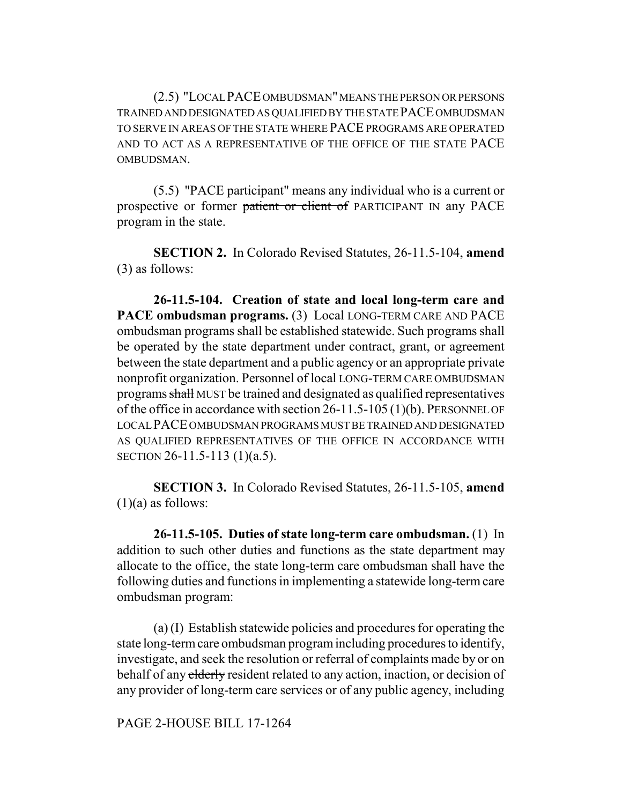(2.5) "LOCAL PACE OMBUDSMAN" MEANS THE PERSON OR PERSONS TRAINED AND DESIGNATED AS QUALIFIED BY THE STATE PACE OMBUDSMAN TO SERVE IN AREAS OF THE STATE WHERE PACE PROGRAMS ARE OPERATED AND TO ACT AS A REPRESENTATIVE OF THE OFFICE OF THE STATE PACE OMBUDSMAN.

(5.5) "PACE participant" means any individual who is a current or prospective or former patient or client of PARTICIPANT IN any PACE program in the state.

**SECTION 2.** In Colorado Revised Statutes, 26-11.5-104, **amend** (3) as follows:

**26-11.5-104. Creation of state and local long-term care and PACE ombudsman programs.** (3) Local LONG-TERM CARE AND PACE ombudsman programs shall be established statewide. Such programs shall be operated by the state department under contract, grant, or agreement between the state department and a public agency or an appropriate private nonprofit organization. Personnel of local LONG-TERM CARE OMBUDSMAN programs shall MUST be trained and designated as qualified representatives of the office in accordance with section 26-11.5-105 (1)(b). PERSONNEL OF LOCAL PACE OMBUDSMAN PROGRAMS MUST BE TRAINED AND DESIGNATED AS QUALIFIED REPRESENTATIVES OF THE OFFICE IN ACCORDANCE WITH SECTION 26-11.5-113 (1)(a.5).

**SECTION 3.** In Colorado Revised Statutes, 26-11.5-105, **amend**  $(1)(a)$  as follows:

**26-11.5-105. Duties of state long-term care ombudsman.** (1) In addition to such other duties and functions as the state department may allocate to the office, the state long-term care ombudsman shall have the following duties and functions in implementing a statewide long-term care ombudsman program:

(a) (I) Establish statewide policies and procedures for operating the state long-term care ombudsman program including procedures to identify, investigate, and seek the resolution or referral of complaints made by or on behalf of any elderly resident related to any action, inaction, or decision of any provider of long-term care services or of any public agency, including

PAGE 2-HOUSE BILL 17-1264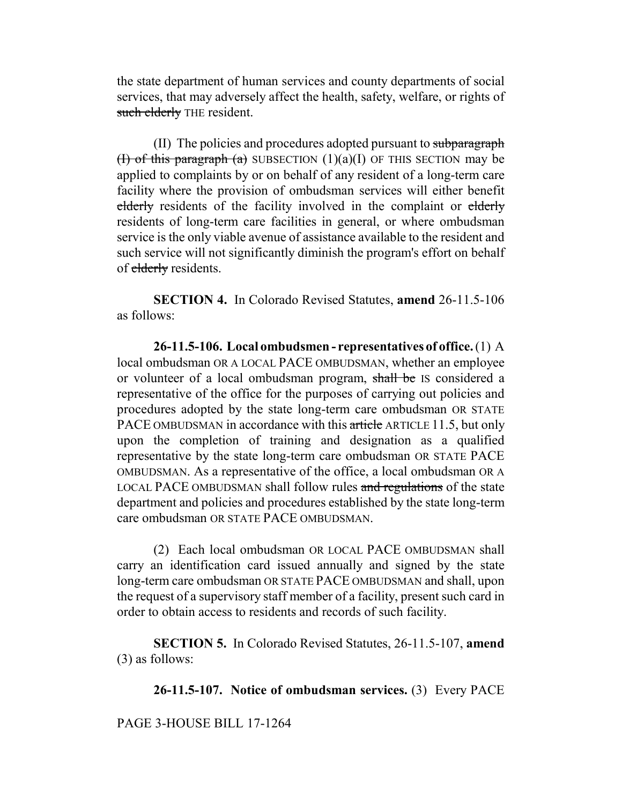the state department of human services and county departments of social services, that may adversely affect the health, safety, welfare, or rights of such elderly THE resident.

(II) The policies and procedures adopted pursuant to subparagraph (**I)** of this paragraph (a) SUBSECTION  $(1)(a)(I)$  OF THIS SECTION may be applied to complaints by or on behalf of any resident of a long-term care facility where the provision of ombudsman services will either benefit elderly residents of the facility involved in the complaint or elderly residents of long-term care facilities in general, or where ombudsman service is the only viable avenue of assistance available to the resident and such service will not significantly diminish the program's effort on behalf of elderly residents.

**SECTION 4.** In Colorado Revised Statutes, **amend** 26-11.5-106 as follows:

**26-11.5-106. Local ombudsmen - representatives of office.** (1) A local ombudsman OR A LOCAL PACE OMBUDSMAN, whether an employee or volunteer of a local ombudsman program, shall be IS considered a representative of the office for the purposes of carrying out policies and procedures adopted by the state long-term care ombudsman OR STATE PACE OMBUDSMAN in accordance with this article ARTICLE 11.5, but only upon the completion of training and designation as a qualified representative by the state long-term care ombudsman OR STATE PACE OMBUDSMAN. As a representative of the office, a local ombudsman OR A LOCAL PACE OMBUDSMAN shall follow rules and regulations of the state department and policies and procedures established by the state long-term care ombudsman OR STATE PACE OMBUDSMAN.

(2) Each local ombudsman OR LOCAL PACE OMBUDSMAN shall carry an identification card issued annually and signed by the state long-term care ombudsman OR STATE PACE OMBUDSMAN and shall, upon the request of a supervisory staff member of a facility, present such card in order to obtain access to residents and records of such facility.

**SECTION 5.** In Colorado Revised Statutes, 26-11.5-107, **amend** (3) as follows:

**26-11.5-107. Notice of ombudsman services.** (3) Every PACE

PAGE 3-HOUSE BILL 17-1264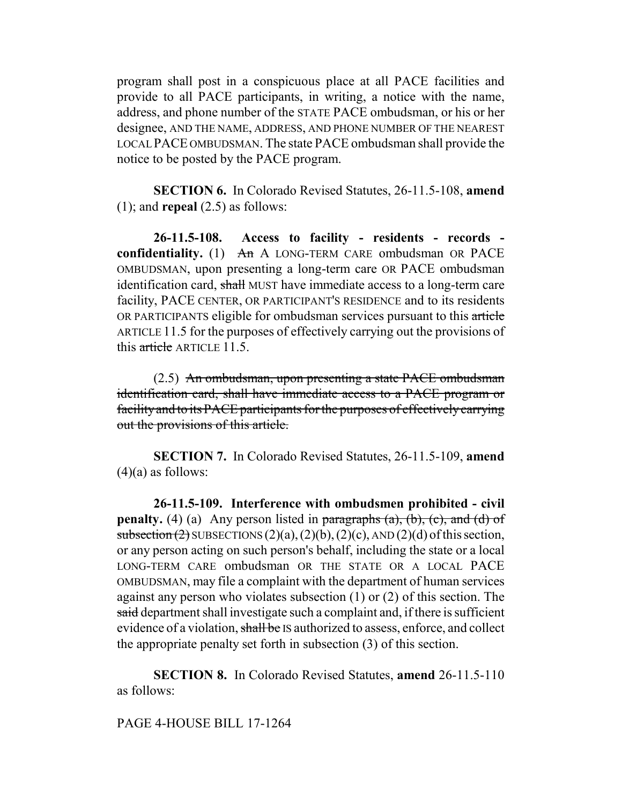program shall post in a conspicuous place at all PACE facilities and provide to all PACE participants, in writing, a notice with the name, address, and phone number of the STATE PACE ombudsman, or his or her designee, AND THE NAME, ADDRESS, AND PHONE NUMBER OF THE NEAREST LOCAL PACE OMBUDSMAN. The state PACE ombudsman shall provide the notice to be posted by the PACE program.

**SECTION 6.** In Colorado Revised Statutes, 26-11.5-108, **amend** (1); and **repeal** (2.5) as follows:

**26-11.5-108. Access to facility - residents - records confidentiality.** (1) An A LONG-TERM CARE ombudsman OR PACE OMBUDSMAN, upon presenting a long-term care OR PACE ombudsman identification card, shall MUST have immediate access to a long-term care facility, PACE CENTER, OR PARTICIPANT'S RESIDENCE and to its residents OR PARTICIPANTS eligible for ombudsman services pursuant to this article ARTICLE 11.5 for the purposes of effectively carrying out the provisions of this article ARTICLE 11.5.

(2.5) An ombudsman, upon presenting a state PACE ombudsman identification card, shall have immediate access to a PACE program or facility and to its PACE participants for the purposes of effectively carrying out the provisions of this article.

**SECTION 7.** In Colorado Revised Statutes, 26-11.5-109, **amend**  $(4)(a)$  as follows:

**26-11.5-109. Interference with ombudsmen prohibited - civil penalty.** (4) (a) Any person listed in  $\frac{\partial}{\partial x}$  paragraphs (a), (b), (c), and (d) of subsection (2) SUBSECTIONS  $(2)(a)$ ,  $(2)(b)$ ,  $(2)(c)$ , AND  $(2)(d)$  of this section, or any person acting on such person's behalf, including the state or a local LONG-TERM CARE ombudsman OR THE STATE OR A LOCAL PACE OMBUDSMAN, may file a complaint with the department of human services against any person who violates subsection (1) or (2) of this section. The said department shall investigate such a complaint and, if there is sufficient evidence of a violation, shall be IS authorized to assess, enforce, and collect the appropriate penalty set forth in subsection (3) of this section.

**SECTION 8.** In Colorado Revised Statutes, **amend** 26-11.5-110 as follows:

PAGE 4-HOUSE BILL 17-1264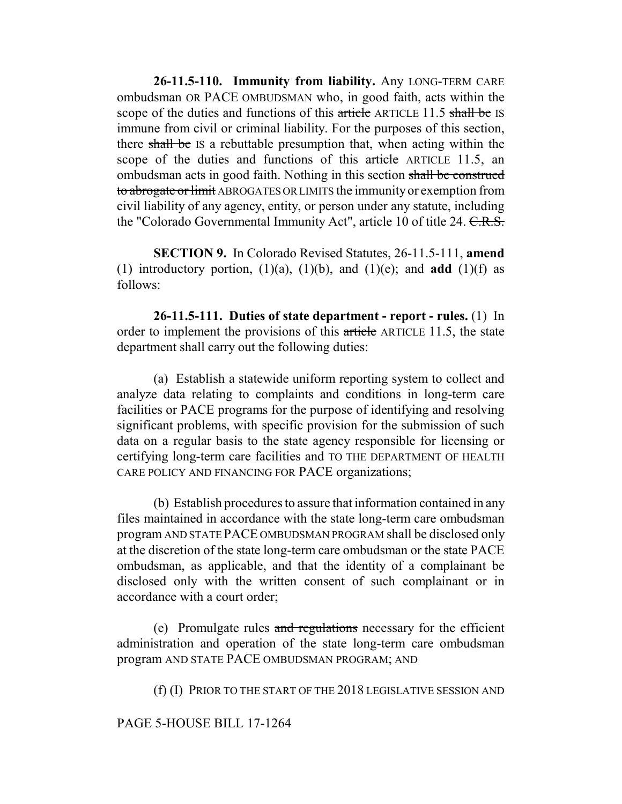**26-11.5-110. Immunity from liability.** Any LONG-TERM CARE ombudsman OR PACE OMBUDSMAN who, in good faith, acts within the scope of the duties and functions of this article ARTICLE 11.5 shall be IS immune from civil or criminal liability. For the purposes of this section, there shall be IS a rebuttable presumption that, when acting within the scope of the duties and functions of this article ARTICLE 11.5, an ombudsman acts in good faith. Nothing in this section shall be construed to abrogate or limit ABROGATES OR LIMITS the immunity or exemption from civil liability of any agency, entity, or person under any statute, including the "Colorado Governmental Immunity Act", article 10 of title 24. C.R.S.

**SECTION 9.** In Colorado Revised Statutes, 26-11.5-111, **amend** (1) introductory portion,  $(1)(a)$ ,  $(1)(b)$ , and  $(1)(e)$ ; and **add**  $(1)(f)$  as follows:

**26-11.5-111. Duties of state department - report - rules.** (1) In order to implement the provisions of this article ARTICLE 11.5, the state department shall carry out the following duties:

(a) Establish a statewide uniform reporting system to collect and analyze data relating to complaints and conditions in long-term care facilities or PACE programs for the purpose of identifying and resolving significant problems, with specific provision for the submission of such data on a regular basis to the state agency responsible for licensing or certifying long-term care facilities and TO THE DEPARTMENT OF HEALTH CARE POLICY AND FINANCING FOR PACE organizations;

(b) Establish procedures to assure that information contained in any files maintained in accordance with the state long-term care ombudsman program AND STATE PACE OMBUDSMAN PROGRAM shall be disclosed only at the discretion of the state long-term care ombudsman or the state PACE ombudsman, as applicable, and that the identity of a complainant be disclosed only with the written consent of such complainant or in accordance with a court order;

(e) Promulgate rules and regulations necessary for the efficient administration and operation of the state long-term care ombudsman program AND STATE PACE OMBUDSMAN PROGRAM; AND

(f) (I) PRIOR TO THE START OF THE 2018 LEGISLATIVE SESSION AND

## PAGE 5-HOUSE BILL 17-1264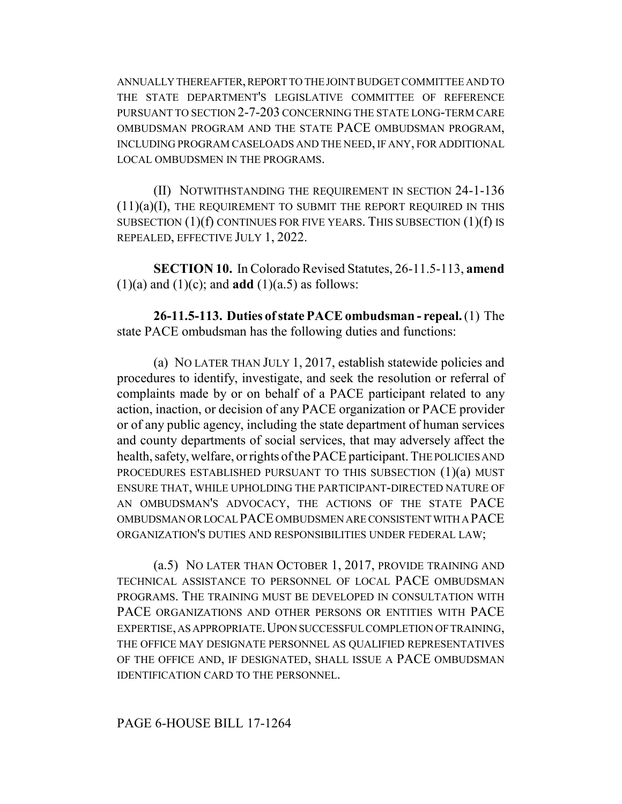ANNUALLY THEREAFTER, REPORT TO THE JOINT BUDGET COMMITTEE AND TO THE STATE DEPARTMENT'S LEGISLATIVE COMMITTEE OF REFERENCE PURSUANT TO SECTION 2-7-203 CONCERNING THE STATE LONG-TERM CARE OMBUDSMAN PROGRAM AND THE STATE PACE OMBUDSMAN PROGRAM, INCLUDING PROGRAM CASELOADS AND THE NEED, IF ANY, FOR ADDITIONAL LOCAL OMBUDSMEN IN THE PROGRAMS.

(II) NOTWITHSTANDING THE REQUIREMENT IN SECTION 24-1-136  $(11)(a)(I)$ , THE REQUIREMENT TO SUBMIT THE REPORT REQUIRED IN THIS SUBSECTION  $(1)(f)$  CONTINUES FOR FIVE YEARS. THIS SUBSECTION  $(1)(f)$  is REPEALED, EFFECTIVE JULY 1, 2022.

**SECTION 10.** In Colorado Revised Statutes, 26-11.5-113, **amend**  $(1)(a)$  and  $(1)(c)$ ; and **add**  $(1)(a.5)$  as follows:

**26-11.5-113. Duties of state PACE ombudsman - repeal.** (1) The state PACE ombudsman has the following duties and functions:

(a) NO LATER THAN JULY 1, 2017, establish statewide policies and procedures to identify, investigate, and seek the resolution or referral of complaints made by or on behalf of a PACE participant related to any action, inaction, or decision of any PACE organization or PACE provider or of any public agency, including the state department of human services and county departments of social services, that may adversely affect the health, safety, welfare, or rights of the PACE participant. THE POLICIES AND PROCEDURES ESTABLISHED PURSUANT TO THIS SUBSECTION (1)(a) MUST ENSURE THAT, WHILE UPHOLDING THE PARTICIPANT-DIRECTED NATURE OF AN OMBUDSMAN'S ADVOCACY, THE ACTIONS OF THE STATE PACE OMBUDSMAN OR LOCAL PACE OMBUDSMEN ARE CONSISTENT WITH A PACE ORGANIZATION'S DUTIES AND RESPONSIBILITIES UNDER FEDERAL LAW;

(a.5) NO LATER THAN OCTOBER 1, 2017, PROVIDE TRAINING AND TECHNICAL ASSISTANCE TO PERSONNEL OF LOCAL PACE OMBUDSMAN PROGRAMS. THE TRAINING MUST BE DEVELOPED IN CONSULTATION WITH PACE ORGANIZATIONS AND OTHER PERSONS OR ENTITIES WITH PACE EXPERTISE, AS APPROPRIATE. UPON SUCCESSFUL COMPLETION OF TRAINING, THE OFFICE MAY DESIGNATE PERSONNEL AS QUALIFIED REPRESENTATIVES OF THE OFFICE AND, IF DESIGNATED, SHALL ISSUE A PACE OMBUDSMAN IDENTIFICATION CARD TO THE PERSONNEL.

## PAGE 6-HOUSE BILL 17-1264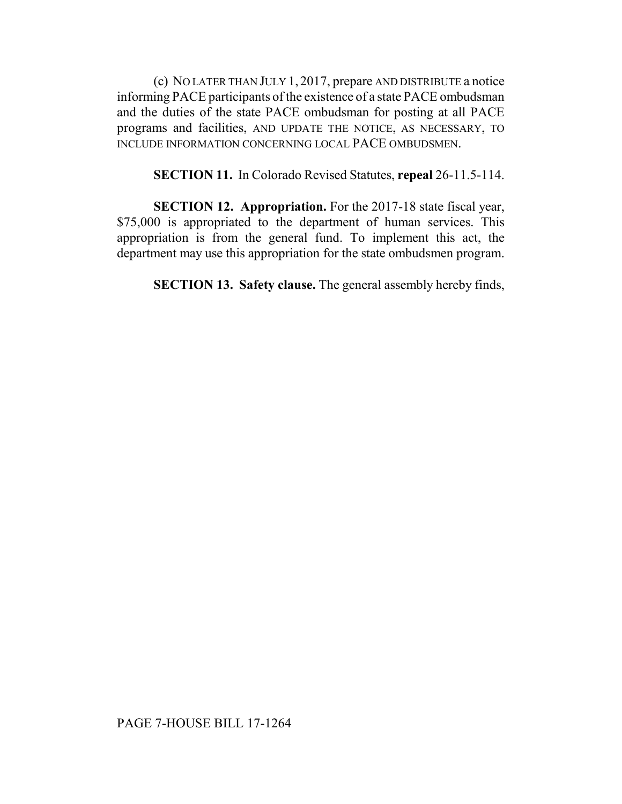(c) NO LATER THAN JULY 1, 2017, prepare AND DISTRIBUTE a notice informing PACE participants of the existence of a state PACE ombudsman and the duties of the state PACE ombudsman for posting at all PACE programs and facilities, AND UPDATE THE NOTICE, AS NECESSARY, TO INCLUDE INFORMATION CONCERNING LOCAL PACE OMBUDSMEN.

**SECTION 11.** In Colorado Revised Statutes, **repeal** 26-11.5-114.

**SECTION 12. Appropriation.** For the 2017-18 state fiscal year, \$75,000 is appropriated to the department of human services. This appropriation is from the general fund. To implement this act, the department may use this appropriation for the state ombudsmen program.

**SECTION 13. Safety clause.** The general assembly hereby finds,